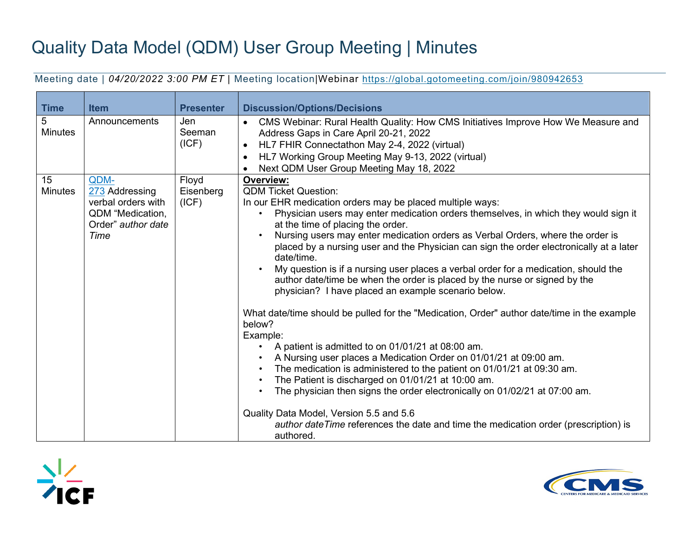## Quality Data Model (QDM) User Group Meeting | Minutes

Meeting date | *04/20/2022 3:00 PM ET* | Meeting location|Webinar<https://global.gotomeeting.com/join/980942653>

| <b>Time</b>          | <b>Item</b>                                                                                    | <b>Presenter</b>            | <b>Discussion/Options/Decisions</b>                                                                                                                                                                                                                                                                                                                                                                                                                                                                                                                                                                                                                                                                                                                                                                                                                                                                                                                                                                                                                                                                                                                                                                                                                                                                                              |  |  |  |  |
|----------------------|------------------------------------------------------------------------------------------------|-----------------------------|----------------------------------------------------------------------------------------------------------------------------------------------------------------------------------------------------------------------------------------------------------------------------------------------------------------------------------------------------------------------------------------------------------------------------------------------------------------------------------------------------------------------------------------------------------------------------------------------------------------------------------------------------------------------------------------------------------------------------------------------------------------------------------------------------------------------------------------------------------------------------------------------------------------------------------------------------------------------------------------------------------------------------------------------------------------------------------------------------------------------------------------------------------------------------------------------------------------------------------------------------------------------------------------------------------------------------------|--|--|--|--|
| 5<br><b>Minutes</b>  | Announcements                                                                                  | Jen<br>Seeman<br>(ICF)      | CMS Webinar: Rural Health Quality: How CMS Initiatives Improve How We Measure and<br>$\bullet$<br>Address Gaps in Care April 20-21, 2022<br>HL7 FHIR Connectathon May 2-4, 2022 (virtual)<br>$\bullet$<br>HL7 Working Group Meeting May 9-13, 2022 (virtual)<br>$\bullet$<br>Next QDM User Group Meeting May 18, 2022<br>$\bullet$                                                                                                                                                                                                                                                                                                                                                                                                                                                                                                                                                                                                                                                                                                                                                                                                                                                                                                                                                                                               |  |  |  |  |
| 15<br><b>Minutes</b> | QDM-<br>273 Addressing<br>verbal orders with<br>QDM "Medication,<br>Order" author date<br>Time | Floyd<br>Eisenberg<br>(ICF) | <b>Overview:</b><br><b>QDM Ticket Question:</b><br>In our EHR medication orders may be placed multiple ways:<br>Physician users may enter medication orders themselves, in which they would sign it<br>$\bullet$<br>at the time of placing the order.<br>Nursing users may enter medication orders as Verbal Orders, where the order is<br>$\bullet$<br>placed by a nursing user and the Physician can sign the order electronically at a later<br>date/time.<br>My question is if a nursing user places a verbal order for a medication, should the<br>author date/time be when the order is placed by the nurse or signed by the<br>physician? I have placed an example scenario below.<br>What date/time should be pulled for the "Medication, Order" author date/time in the example<br>below?<br>Example:<br>A patient is admitted to on 01/01/21 at 08:00 am.<br>$\bullet$<br>A Nursing user places a Medication Order on 01/01/21 at 09:00 am.<br>The medication is administered to the patient on 01/01/21 at 09:30 am.<br>$\bullet$<br>The Patient is discharged on 01/01/21 at 10:00 am.<br>The physician then signs the order electronically on 01/02/21 at 07:00 am.<br>Quality Data Model, Version 5.5 and 5.6<br>author date Time references the date and time the medication order (prescription) is<br>authored. |  |  |  |  |



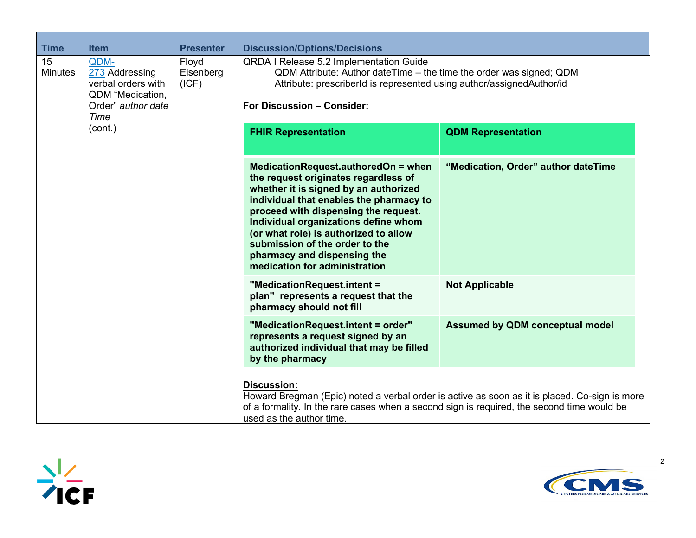| <b>Time</b>          | <b>Item</b>                                                                                    | <b>Presenter</b>            | <b>Discussion/Options/Decisions</b>                                                                                                                                                                                                                                                                                                                                                        |                                                                                               |  |  |  |  |
|----------------------|------------------------------------------------------------------------------------------------|-----------------------------|--------------------------------------------------------------------------------------------------------------------------------------------------------------------------------------------------------------------------------------------------------------------------------------------------------------------------------------------------------------------------------------------|-----------------------------------------------------------------------------------------------|--|--|--|--|
| 15<br><b>Minutes</b> | QDM-<br>273 Addressing<br>verbal orders with<br>QDM "Medication,<br>Order" author date<br>Time | Floyd<br>Eisenberg<br>(ICF) | QRDA I Release 5.2 Implementation Guide<br>QDM Attribute: Author dateTime – the time the order was signed; QDM<br>Attribute: prescriberId is represented using author/assignedAuthor/id<br>For Discussion - Consider:                                                                                                                                                                      |                                                                                               |  |  |  |  |
|                      | (cont.)                                                                                        |                             | <b>FHIR Representation</b>                                                                                                                                                                                                                                                                                                                                                                 | <b>QDM Representation</b>                                                                     |  |  |  |  |
|                      |                                                                                                |                             | MedicationRequest.authoredOn = when<br>the request originates regardless of<br>whether it is signed by an authorized<br>individual that enables the pharmacy to<br>proceed with dispensing the request.<br>Individual organizations define whom<br>(or what role) is authorized to allow<br>submission of the order to the<br>pharmacy and dispensing the<br>medication for administration | "Medication, Order" author dateTime                                                           |  |  |  |  |
|                      |                                                                                                |                             | "MedicationRequest.intent =<br>plan" represents a request that the<br>pharmacy should not fill                                                                                                                                                                                                                                                                                             | <b>Not Applicable</b>                                                                         |  |  |  |  |
|                      |                                                                                                |                             | "MedicationRequest.intent = order"<br>represents a request signed by an<br>authorized individual that may be filled<br>by the pharmacy                                                                                                                                                                                                                                                     | <b>Assumed by QDM conceptual model</b>                                                        |  |  |  |  |
|                      |                                                                                                |                             | <b>Discussion:</b><br>of a formality. In the rare cases when a second sign is required, the second time would be<br>used as the author time.                                                                                                                                                                                                                                               | Howard Bregman (Epic) noted a verbal order is active as soon as it is placed. Co-sign is more |  |  |  |  |



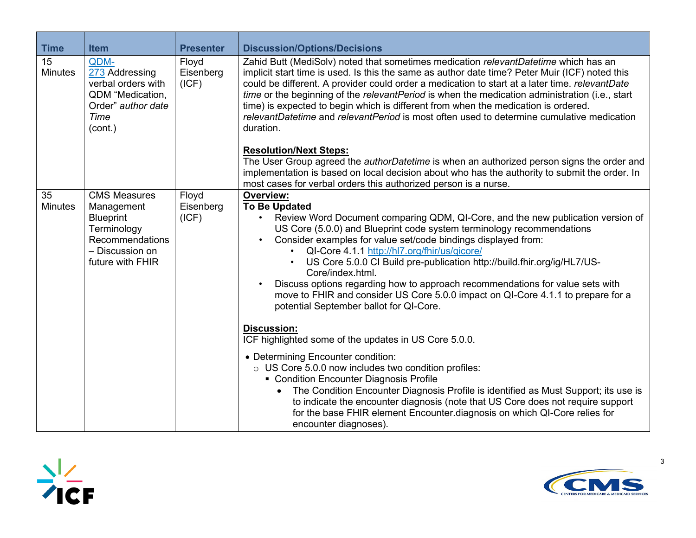| <b>Time</b>          | <b>Item</b>                                                                                                                    | <b>Presenter</b>            | <b>Discussion/Options/Decisions</b>                                                                                                                                                                                                                                                                                                                                                                                                                                                                                                                                                                                           |  |  |  |  |
|----------------------|--------------------------------------------------------------------------------------------------------------------------------|-----------------------------|-------------------------------------------------------------------------------------------------------------------------------------------------------------------------------------------------------------------------------------------------------------------------------------------------------------------------------------------------------------------------------------------------------------------------------------------------------------------------------------------------------------------------------------------------------------------------------------------------------------------------------|--|--|--|--|
| 15<br><b>Minutes</b> | QDM-<br>273 Addressing<br>verbal orders with<br>QDM "Medication,<br>Order" author date<br>Time<br>(cont.)                      | Floyd<br>Eisenberg<br>(ICF) | Zahid Butt (MediSolv) noted that sometimes medication relevantDatetime which has an<br>implicit start time is used. Is this the same as author date time? Peter Muir (ICF) noted this<br>could be different. A provider could order a medication to start at a later time. relevantDate<br>time or the beginning of the relevantPeriod is when the medication administration (i.e., start<br>time) is expected to begin which is different from when the medication is ordered.<br>relevantDatetime and relevantPeriod is most often used to determine cumulative medication<br>duration.                                     |  |  |  |  |
|                      |                                                                                                                                |                             | <b>Resolution/Next Steps:</b><br>The User Group agreed the <i>authorDatetime</i> is when an authorized person signs the order and<br>implementation is based on local decision about who has the authority to submit the order. In<br>most cases for verbal orders this authorized person is a nurse.                                                                                                                                                                                                                                                                                                                         |  |  |  |  |
| 35<br><b>Minutes</b> | <b>CMS Measures</b><br>Management<br><b>Blueprint</b><br>Terminology<br>Recommendations<br>- Discussion on<br>future with FHIR | Floyd<br>Eisenberg<br>(ICF) | Overview:<br><b>To Be Updated</b><br>Review Word Document comparing QDM, QI-Core, and the new publication version of<br>US Core (5.0.0) and Blueprint code system terminology recommendations<br>Consider examples for value set/code bindings displayed from:<br>QI-Core 4.1.1 http://hl7.org/fhir/us/qicore/<br>US Core 5.0.0 CI Build pre-publication http://build.fhir.org/ig/HL7/US-<br>Core/index.html.<br>Discuss options regarding how to approach recommendations for value sets with<br>move to FHIR and consider US Core 5.0.0 impact on QI-Core 4.1.1 to prepare for a<br>potential September ballot for QI-Core. |  |  |  |  |
|                      |                                                                                                                                |                             | <b>Discussion:</b><br>ICF highlighted some of the updates in US Core 5.0.0.                                                                                                                                                                                                                                                                                                                                                                                                                                                                                                                                                   |  |  |  |  |
|                      |                                                                                                                                |                             | • Determining Encounter condition:<br>o US Core 5.0.0 now includes two condition profiles:<br>• Condition Encounter Diagnosis Profile<br>The Condition Encounter Diagnosis Profile is identified as Must Support; its use is<br>$\bullet$<br>to indicate the encounter diagnosis (note that US Core does not require support<br>for the base FHIR element Encounter diagnosis on which QI-Core relies for<br>encounter diagnoses).                                                                                                                                                                                            |  |  |  |  |



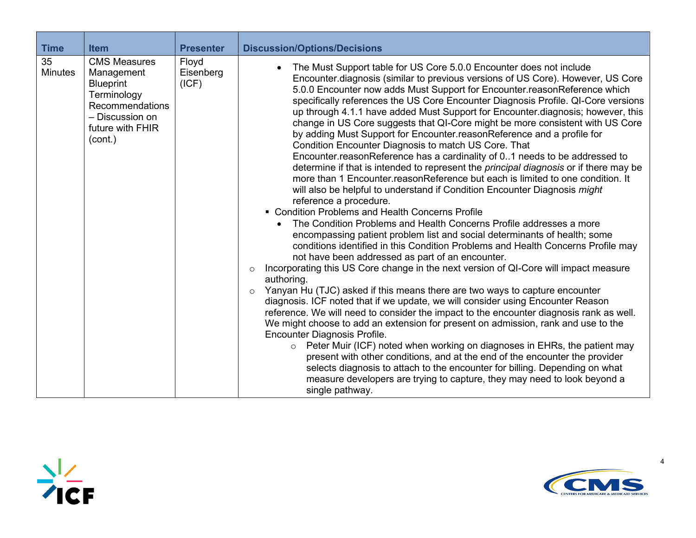| <b>Time</b>          | <b>Item</b>                                                                                                                                      | <b>Presenter</b>            | <b>Discussion/Options/Decisions</b>                                                                                                                                                                                                                                                                                                                                                                                                                                                                                                                                                                                                                                                                                                                                                                                                                                                                                                                                                                                                                                                                                                                                                                                                                                                                                                                                                                                                                                                                                                                                                                                                                                                                                                                                                                                                                                                                                                                                                                                                                                                                                                                                                                                                           |
|----------------------|--------------------------------------------------------------------------------------------------------------------------------------------------|-----------------------------|-----------------------------------------------------------------------------------------------------------------------------------------------------------------------------------------------------------------------------------------------------------------------------------------------------------------------------------------------------------------------------------------------------------------------------------------------------------------------------------------------------------------------------------------------------------------------------------------------------------------------------------------------------------------------------------------------------------------------------------------------------------------------------------------------------------------------------------------------------------------------------------------------------------------------------------------------------------------------------------------------------------------------------------------------------------------------------------------------------------------------------------------------------------------------------------------------------------------------------------------------------------------------------------------------------------------------------------------------------------------------------------------------------------------------------------------------------------------------------------------------------------------------------------------------------------------------------------------------------------------------------------------------------------------------------------------------------------------------------------------------------------------------------------------------------------------------------------------------------------------------------------------------------------------------------------------------------------------------------------------------------------------------------------------------------------------------------------------------------------------------------------------------------------------------------------------------------------------------------------------------|
| 35<br><b>Minutes</b> | <b>CMS Measures</b><br>Management<br><b>Blueprint</b><br>Terminology<br><b>Recommendations</b><br>- Discussion on<br>future with FHIR<br>(cont.) | Floyd<br>Eisenberg<br>(ICF) | The Must Support table for US Core 5.0.0 Encounter does not include<br>$\bullet$<br>Encounter diagnosis (similar to previous versions of US Core). However, US Core<br>5.0.0 Encounter now adds Must Support for Encounter.reasonReference which<br>specifically references the US Core Encounter Diagnosis Profile. QI-Core versions<br>up through 4.1.1 have added Must Support for Encounter.diagnosis; however, this<br>change in US Core suggests that QI-Core might be more consistent with US Core<br>by adding Must Support for Encounter.reasonReference and a profile for<br>Condition Encounter Diagnosis to match US Core. That<br>Encounter reason Reference has a cardinality of 01 needs to be addressed to<br>determine if that is intended to represent the principal diagnosis or if there may be<br>more than 1 Encounter reason Reference but each is limited to one condition. It<br>will also be helpful to understand if Condition Encounter Diagnosis might<br>reference a procedure.<br>• Condition Problems and Health Concerns Profile<br>The Condition Problems and Health Concerns Profile addresses a more<br>$\bullet$<br>encompassing patient problem list and social determinants of health; some<br>conditions identified in this Condition Problems and Health Concerns Profile may<br>not have been addressed as part of an encounter.<br>Incorporating this US Core change in the next version of QI-Core will impact measure<br>$\circ$<br>authoring.<br>Yanyan Hu (TJC) asked if this means there are two ways to capture encounter<br>$\circ$<br>diagnosis. ICF noted that if we update, we will consider using Encounter Reason<br>reference. We will need to consider the impact to the encounter diagnosis rank as well.<br>We might choose to add an extension for present on admission, rank and use to the<br>Encounter Diagnosis Profile.<br>Peter Muir (ICF) noted when working on diagnoses in EHRs, the patient may<br>$\circ$<br>present with other conditions, and at the end of the encounter the provider<br>selects diagnosis to attach to the encounter for billing. Depending on what<br>measure developers are trying to capture, they may need to look beyond a<br>single pathway. |



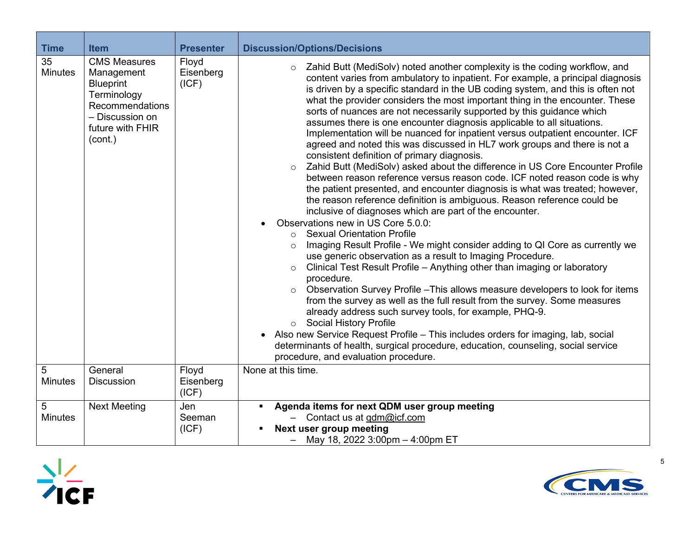| <b>Time</b>          | <b>Item</b>                                                                                                                               | <b>Presenter</b>            | <b>Discussion/Options/Decisions</b>                                                                                                                                                                                                                                                                                                                                                                                                                                                                                                                                                                                                                                                                                                                                                                                                                                                                                                                                                                                                                                                                                                                                                                                                                                                                                                                                                                                                                                                                                                                                                                                                                                                                                                                                                                                                                                                                                                               |
|----------------------|-------------------------------------------------------------------------------------------------------------------------------------------|-----------------------------|---------------------------------------------------------------------------------------------------------------------------------------------------------------------------------------------------------------------------------------------------------------------------------------------------------------------------------------------------------------------------------------------------------------------------------------------------------------------------------------------------------------------------------------------------------------------------------------------------------------------------------------------------------------------------------------------------------------------------------------------------------------------------------------------------------------------------------------------------------------------------------------------------------------------------------------------------------------------------------------------------------------------------------------------------------------------------------------------------------------------------------------------------------------------------------------------------------------------------------------------------------------------------------------------------------------------------------------------------------------------------------------------------------------------------------------------------------------------------------------------------------------------------------------------------------------------------------------------------------------------------------------------------------------------------------------------------------------------------------------------------------------------------------------------------------------------------------------------------------------------------------------------------------------------------------------------------|
| 35<br><b>Minutes</b> | <b>CMS Measures</b><br>Management<br><b>Blueprint</b><br>Terminology<br>Recommendations<br>- Discussion on<br>future with FHIR<br>(cont.) | Floyd<br>Eisenberg<br>(ICF) | Zahid Butt (MediSolv) noted another complexity is the coding workflow, and<br>$\circ$<br>content varies from ambulatory to inpatient. For example, a principal diagnosis<br>is driven by a specific standard in the UB coding system, and this is often not<br>what the provider considers the most important thing in the encounter. These<br>sorts of nuances are not necessarily supported by this guidance which<br>assumes there is one encounter diagnosis applicable to all situations.<br>Implementation will be nuanced for inpatient versus outpatient encounter. ICF<br>agreed and noted this was discussed in HL7 work groups and there is not a<br>consistent definition of primary diagnosis.<br>Zahid Butt (MediSolv) asked about the difference in US Core Encounter Profile<br>$\circ$<br>between reason reference versus reason code. ICF noted reason code is why<br>the patient presented, and encounter diagnosis is what was treated; however,<br>the reason reference definition is ambiguous. Reason reference could be<br>inclusive of diagnoses which are part of the encounter.<br>Observations new in US Core 5.0.0:<br>$\bullet$<br><b>Sexual Orientation Profile</b><br>$\circ$<br>Imaging Result Profile - We might consider adding to QI Core as currently we<br>$\circ$<br>use generic observation as a result to Imaging Procedure.<br>Clinical Test Result Profile - Anything other than imaging or laboratory<br>procedure.<br>Observation Survey Profile - This allows measure developers to look for items<br>from the survey as well as the full result from the survey. Some measures<br>already address such survey tools, for example, PHQ-9.<br>o Social History Profile<br>Also new Service Request Profile - This includes orders for imaging, lab, social<br>$\bullet$<br>determinants of health, surgical procedure, education, counseling, social service<br>procedure, and evaluation procedure. |
| 5<br><b>Minutes</b>  | General<br><b>Discussion</b>                                                                                                              | Floyd<br>Eisenberg<br>(ICF) | None at this time.                                                                                                                                                                                                                                                                                                                                                                                                                                                                                                                                                                                                                                                                                                                                                                                                                                                                                                                                                                                                                                                                                                                                                                                                                                                                                                                                                                                                                                                                                                                                                                                                                                                                                                                                                                                                                                                                                                                                |
| 5<br><b>Minutes</b>  | <b>Next Meeting</b>                                                                                                                       | Jen<br>Seeman<br>(ICF)      | Agenda items for next QDM user group meeting<br>$\blacksquare$<br>Contact us at qdm@icf.com<br><b>Next user group meeting</b><br>٠<br>May 18, 2022 3:00pm - 4:00pm ET                                                                                                                                                                                                                                                                                                                                                                                                                                                                                                                                                                                                                                                                                                                                                                                                                                                                                                                                                                                                                                                                                                                                                                                                                                                                                                                                                                                                                                                                                                                                                                                                                                                                                                                                                                             |



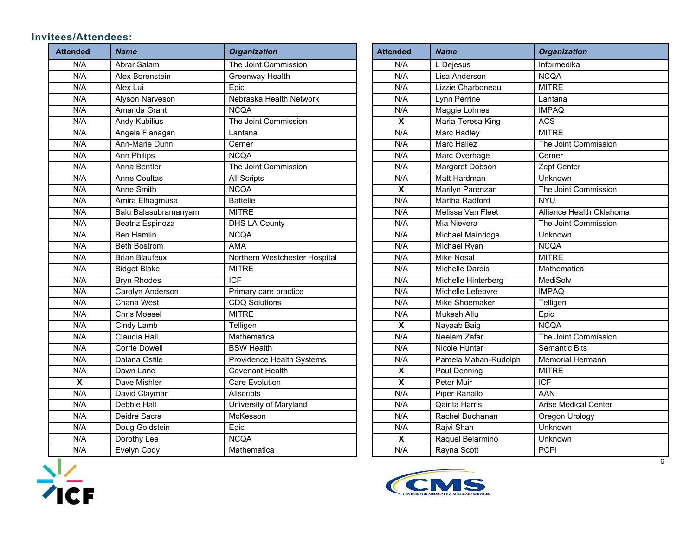## **Invitees/Attendees:**

| <b>Attended</b>           | <b>Name</b>           | <b>Organization</b><br><b>Attended</b> |                           | <b>Name</b>            | <b>Organization</b>      |
|---------------------------|-----------------------|----------------------------------------|---------------------------|------------------------|--------------------------|
| N/A                       | Abrar Salam           | The Joint Commission                   | N/A                       | L Dejesus              | Informedika              |
| N/A                       | Alex Borenstein       | <b>Greenway Health</b>                 | N/A                       | Lisa Anderson          | <b>NCQA</b>              |
| N/A                       | Alex Lui              | Epic                                   | N/A                       | Lizzie Charboneau      | <b>MITRE</b>             |
| N/A                       | Alyson Narveson       | Nebraska Health Network                | N/A                       | Lynn Perrine           | Lantana                  |
| N/A                       | Amanda Grant          | <b>NCQA</b>                            | N/A                       | Maggie Lohnes          | <b>IMPAQ</b>             |
| N/A                       | <b>Andy Kubilius</b>  | The Joint Commission                   | $\overline{\mathbf{x}}$   | Maria-Teresa King      | <b>ACS</b>               |
| N/A                       | Angela Flanagan       | Lantana                                | N/A                       | Marc Hadley            | <b>MITRE</b>             |
| N/A                       | Ann-Marie Dunn        | Cerner                                 | N/A                       | <b>Marc Hallez</b>     | The Joint Commission     |
| N/A                       | <b>Ann Philips</b>    | <b>NCQA</b>                            | N/A                       | Marc Overhage          | Cerner                   |
| N/A                       | Anna Bentler          | The Joint Commission                   | N/A                       | <b>Margaret Dobson</b> | Zepf Center              |
| N/A                       | <b>Anne Coultas</b>   | <b>All Scripts</b>                     | N/A                       | Matt Hardman           | Unknown                  |
| N/A                       | Anne Smith            | <b>NCQA</b>                            | $\boldsymbol{\mathsf{x}}$ | Marilyn Parenzan       | The Joint Commission     |
| N/A                       | Amira Elhagmusa       | <b>Battelle</b>                        | N/A                       | Martha Radford         | <b>NYU</b>               |
| N/A                       | Balu Balasubramanyam  | <b>MITRE</b>                           | N/A                       | Melissa Van Fleet      | Alliance Health Oklahoma |
| N/A                       | Beatriz Espinoza      | <b>DHS LA County</b>                   | N/A                       | Mia Nievera            | The Joint Commission     |
| N/A                       | <b>Ben Hamlin</b>     | <b>NCQA</b>                            | N/A                       | Michael Mainridge      | Unknown                  |
| N/A                       | <b>Beth Bostrom</b>   | <b>AMA</b>                             | N/A                       | Michael Ryan           | <b>NCQA</b>              |
| N/A                       | <b>Brian Blaufeux</b> | Northern Westchester Hospital          | N/A                       | <b>Mike Nosal</b>      | <b>MITRE</b>             |
| N/A                       | <b>Bidget Blake</b>   | <b>MITRE</b>                           | N/A                       | Michelle Dardis        | Mathematica              |
| N/A                       | <b>Bryn Rhodes</b>    | <b>ICF</b>                             | N/A                       | Michelle Hinterberg    | MediSolv                 |
| N/A                       | Carolyn Anderson      | Primary care practice                  | N/A                       | Michelle Lefebvre      | <b>IMPAQ</b>             |
| N/A                       | Chana West            | <b>CDQ Solutions</b>                   | N/A                       | Mike Shoemaker         | Telligen                 |
| N/A                       | <b>Chris Moesel</b>   | <b>MITRE</b>                           | N/A                       | Mukesh Allu            | Epic                     |
| N/A                       | Cindy Lamb            | Telligen                               | $\overline{\mathbf{x}}$   | Nayaab Baig            | <b>NCQA</b>              |
| N/A                       | Claudia Hall          | Mathematica                            | N/A                       | Neelam Zafar           | The Joint Commission     |
| N/A                       | <b>Corrie Dowell</b>  | <b>BSW Health</b>                      | N/A                       | Nicole Hunter          | <b>Semantic Bits</b>     |
| N/A                       | Dalana Ostile         | Providence Health Systems              | N/A                       | Pamela Mahan-Rudolph   | <b>Memorial Hermann</b>  |
| N/A                       | Dawn Lane             | <b>Covenant Health</b>                 | $\pmb{\mathsf{X}}$        | Paul Denning           | <b>MITRE</b>             |
| $\boldsymbol{\mathsf{X}}$ | Dave Mishler          | <b>Care Evolution</b>                  | $\overline{\mathbf{X}}$   | Peter Muir             | $\overline{ICF}$         |
| N/A                       | David Clayman         | Allscripts                             | N/A                       | Piper Ranallo          | AAN                      |
| N/A                       | Debbie Hall           | University of Maryland                 | N/A                       | Qainta Harris          | Arise Medical Center     |
| N/A                       | Deidre Sacra          | McKesson                               | N/A                       | Rachel Buchanan        | Oregon Urology           |
| N/A                       | Doug Goldstein        | Epic                                   | N/A                       | Rajvi Shah             | Unknown                  |
| N/A                       | Dorothy Lee           | <b>NCQA</b>                            | $\overline{\mathbf{x}}$   | Raquel Belarmino       | Unknown                  |
| N/A                       | Evelyn Cody           | Mathematica                            | N/A                       | Rayna Scott            | <b>PCPI</b>              |
|                           |                       |                                        |                           |                        |                          |

| <b>Attended</b>         | <b>Name</b>            | <b>Organization</b>         |  |
|-------------------------|------------------------|-----------------------------|--|
| N/A                     | L Dejesus              | Informedika                 |  |
| N/A                     | Lisa Anderson          | <b>NCQA</b>                 |  |
| N/A                     | Lizzie Charboneau      | <b>MITRE</b>                |  |
| N/A                     | Lynn Perrine           | Lantana                     |  |
| N/A                     | Maggie Lohnes          | <b>IMPAQ</b>                |  |
| $\overline{\mathbf{x}}$ | Maria-Teresa King      | <b>ACS</b>                  |  |
| N/A                     | <b>Marc Hadley</b>     | <b>MITRE</b>                |  |
| N/A                     | <b>Marc Hallez</b>     | The Joint Commission        |  |
| N/A                     | Marc Overhage          | Cerner                      |  |
| N/A                     | Margaret Dobson        | Zepf Center                 |  |
| N/A                     | <b>Matt Hardman</b>    | Unknown                     |  |
| X                       | Marilyn Parenzan       | The Joint Commission        |  |
| N/A                     | Martha Radford         | <b>NYU</b>                  |  |
| N/A                     | Melissa Van Fleet      | Alliance Health Oklahoma    |  |
| N/A                     | Mia Nievera            | The Joint Commission        |  |
| N/A                     | Michael Mainridge      | Unknown                     |  |
| N/A                     | Michael Ryan           | <b>NCQA</b>                 |  |
| N/A                     | <b>Mike Nosal</b>      | <b>MITRE</b>                |  |
| N/A                     | <b>Michelle Dardis</b> | Mathematica                 |  |
| N/A                     | Michelle Hinterberg    | MediSolv                    |  |
| N/A                     | Michelle Lefebvre      | <b>IMPAQ</b>                |  |
| N/A                     | Mike Shoemaker         | Telligen                    |  |
| N/A                     | Mukesh Allu            | Epic                        |  |
| X                       | Nayaab Baig            | <b>NCQA</b>                 |  |
| N/A                     | Neelam Zafar           | The Joint Commission        |  |
| N/A                     | Nicole Hunter          | <b>Semantic Bits</b>        |  |
| N/A                     | Pamela Mahan-Rudolph   | Memorial Hermann            |  |
| X                       | Paul Denning           | <b>MITRE</b>                |  |
| X                       | Peter Muir             | <b>ICF</b>                  |  |
| N/A                     | <b>Piper Ranallo</b>   | AAN                         |  |
| N/A                     | <b>Qainta Harris</b>   | <b>Arise Medical Center</b> |  |
| N/A                     | Rachel Buchanan        | <b>Oregon Urology</b>       |  |
| N/A                     | Rajvi Shah             | Unknown                     |  |
| $\overline{\mathbf{x}}$ | Raquel Belarmino       | Unknown                     |  |
| N/A                     | Rayna Scott            | <b>PCPI</b>                 |  |



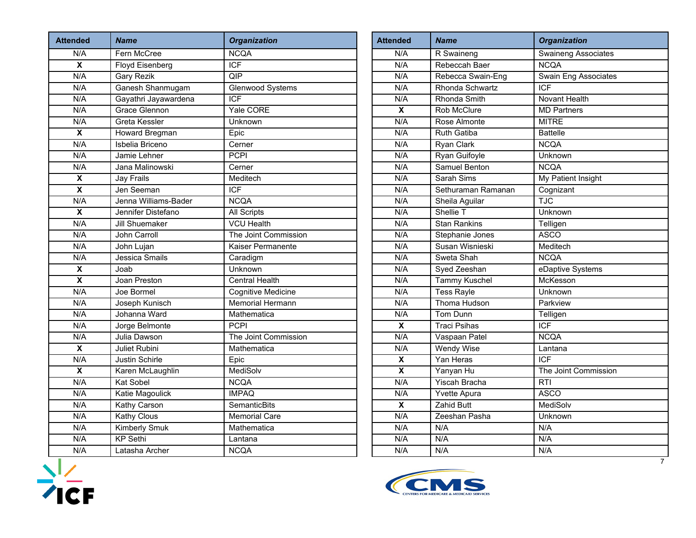| <b>Attended</b>           | <b>Name</b>          | <b>Organization</b>     | <b>Attended</b>         | <b>Name</b>          | <b>Organization</b>        |
|---------------------------|----------------------|-------------------------|-------------------------|----------------------|----------------------------|
| N/A                       | Fern McCree          | <b>NCQA</b>             | N/A                     | R Swaineng           | <b>Swaineng Associates</b> |
| $\overline{\mathbf{x}}$   | Floyd Eisenberg      | <b>ICF</b>              | N/A                     | Rebeccah Baer        | <b>NCQA</b>                |
| N/A                       | Gary Rezik           | QIP                     | N/A                     | Rebecca Swain-Eng    | Swain Eng Associate        |
| N/A                       | Ganesh Shanmugam     | Glenwood Systems        | N/A                     | Rhonda Schwartz      | <b>ICF</b>                 |
| N/A                       | Gayathri Jayawardena | <b>ICF</b>              | N/A                     | Rhonda Smith         | <b>Novant Health</b>       |
| N/A                       | <b>Grace Glennon</b> | <b>Yale CORE</b>        | $\overline{\mathbf{x}}$ | Rob McClure          | <b>MD</b> Partners         |
| N/A                       | Greta Kessler        | Unknown                 | N/A                     | Rose Almonte         | <b>MITRE</b>               |
| $\boldsymbol{\mathsf{X}}$ | Howard Bregman       | Epic                    | N/A                     | <b>Ruth Gatiba</b>   | <b>Battelle</b>            |
| N/A                       | Isbelia Briceno      | Cerner                  | N/A                     | Ryan Clark           | <b>NCQA</b>                |
| N/A                       | Jamie Lehner         | <b>PCPI</b>             | N/A                     | Ryan Guifoyle        | Unknown                    |
| N/A                       | Jana Malinowski      | Cerner                  | N/A                     | <b>Samuel Benton</b> | <b>NCQA</b>                |
| X                         | <b>Jay Frails</b>    | Meditech                | N/A                     | Sarah Sims           | My Patient Insight         |
| $\overline{\mathbf{x}}$   | Jen Seeman           | <b>ICF</b>              | N/A                     | Sethuraman Ramanan   | Cognizant                  |
| N/A                       | Jenna Williams-Bader | <b>NCQA</b>             | N/A                     | Sheila Aguilar       | <b>TJC</b>                 |
| $\overline{\mathbf{x}}$   | Jennifer Distefano   | <b>All Scripts</b>      | N/A                     | Shellie T            | Unknown                    |
| N/A                       | Jill Shuemaker       | <b>VCU Health</b>       | N/A                     | <b>Stan Rankins</b>  | Telligen                   |
| N/A                       | John Carroll         | The Joint Commission    | N/A                     | Stephanie Jones      | <b>ASCO</b>                |
| N/A                       | John Lujan           | Kaiser Permanente       | N/A                     | Susan Wisnieski      | Meditech                   |
| N/A                       | Jessica Smails       | Caradigm                | N/A                     | Sweta Shah           | <b>NCQA</b>                |
| $\overline{\mathbf{x}}$   | Joab                 | Unknown                 | N/A                     | Syed Zeeshan         | eDaptive Systems           |
| $\boldsymbol{\mathsf{x}}$ | Joan Preston         | <b>Central Health</b>   | N/A                     | <b>Tammy Kuschel</b> | McKesson                   |
| N/A                       | Joe Bormel           | Cognitive Medicine      | N/A                     | <b>Tess Rayle</b>    | Unknown                    |
| N/A                       | Joseph Kunisch       | <b>Memorial Hermann</b> | N/A                     | Thoma Hudson         | Parkview                   |
| N/A                       | Johanna Ward         | Mathematica             | N/A                     | Tom Dunn             | Telligen                   |
| N/A                       | Jorge Belmonte       | <b>PCPI</b>             | $\overline{\mathbf{x}}$ | <b>Traci Psihas</b>  | ICF                        |
| N/A                       | Julia Dawson         | The Joint Commission    | N/A                     | Vaspaan Patel        | <b>NCQA</b>                |
| $\overline{\mathbf{x}}$   | Juliet Rubini        | Mathematica             | N/A                     | <b>Wendy Wise</b>    | Lantana                    |
| N/A                       | Justin Schirle       | Epic                    | $\overline{\mathbf{x}}$ | Yan Heras            | <b>ICF</b>                 |
| $\boldsymbol{\mathsf{X}}$ | Karen McLaughlin     | MediSolv                | $\overline{\mathbf{x}}$ | Yanyan Hu            | The Joint Commissio        |
| N/A                       | <b>Kat Sobel</b>     | <b>NCQA</b>             | N/A                     | <b>Yiscah Bracha</b> | RTI                        |
| N/A                       | Katie Magoulick      | <b>IMPAQ</b>            | N/A                     | Yvette Apura         | <b>ASCO</b>                |
| N/A                       | <b>Kathy Carson</b>  | <b>SemanticBits</b>     | $\overline{\mathbf{x}}$ | <b>Zahid Butt</b>    | <b>MediSolv</b>            |
| N/A                       | <b>Kathy Clous</b>   | <b>Memorial Care</b>    | N/A                     | Zeeshan Pasha        | Unknown                    |
| N/A                       | Kimberly Smuk        | Mathematica             | N/A                     | N/A                  | N/A                        |
| N/A                       | <b>KP</b> Sethi      | Lantana                 | N/A                     | N/A                  | N/A                        |
| N/A                       | Latasha Archer       | <b>NCQA</b>             | N/A                     | N/A                  | N/A                        |
|                           |                      |                         |                         |                      |                            |

| <b>Attended</b>         | <b>Name</b>            | <b>Organization</b>         |  |  |
|-------------------------|------------------------|-----------------------------|--|--|
| N/A                     | R Swaineng             | <b>Swaineng Associates</b>  |  |  |
| N/A                     | Rebeccah Baer          | <b>NCQA</b>                 |  |  |
| N/A                     | Rebecca Swain-Eng      | <b>Swain Eng Associates</b> |  |  |
| N/A                     | Rhonda Schwartz        | ICF                         |  |  |
| N/A                     | Rhonda Smith           | <b>Novant Health</b>        |  |  |
| $\overline{\mathbf{x}}$ | <b>Rob McClure</b>     | <b>MD Partners</b>          |  |  |
| N/A                     | Rose Almonte           | <b>MITRE</b>                |  |  |
| N/A                     | <b>Ruth Gatiba</b>     | <b>Battelle</b>             |  |  |
| N/A                     | <b>Ryan Clark</b>      | <b>NCQA</b>                 |  |  |
| N/A                     | Ryan Guifoyle          | <b>Unknown</b>              |  |  |
| N/A                     | <b>Samuel Benton</b>   | <b>NCQA</b>                 |  |  |
| N/A                     | Sarah Sims             | My Patient Insight          |  |  |
| N/A                     | Sethuraman Ramanan     | Cognizant                   |  |  |
| N/A                     | Sheila Aguilar         | <b>TJC</b>                  |  |  |
| N/A                     | Shellie T              | Unknown                     |  |  |
| N/A                     | <b>Stan Rankins</b>    | Telligen                    |  |  |
| N/A                     | <b>Stephanie Jones</b> | <b>ASCO</b>                 |  |  |
| N/A                     | Susan Wisnieski        | Meditech                    |  |  |
| N/A                     | Sweta Shah             | <b>NCQA</b>                 |  |  |
| N/A                     | Syed Zeeshan           | eDaptive Systems            |  |  |
| N/A                     | <b>Tammy Kuschel</b>   | McKesson                    |  |  |
| N/A                     | <b>Tess Rayle</b>      | Unknown                     |  |  |
| N/A                     | <b>Thoma Hudson</b>    | Parkview                    |  |  |
| N/A                     | Tom Dunn               | Telligen                    |  |  |
| $\overline{\mathbf{x}}$ | <b>Traci Psihas</b>    | <b>ICF</b>                  |  |  |
| N/A                     | Vaspaan Patel          | <b>NCQA</b>                 |  |  |
| N/A                     | <b>Wendy Wise</b>      | Lantana                     |  |  |
| $\overline{\mathbf{x}}$ | Yan Heras              | <b>ICF</b>                  |  |  |
| $\overline{\mathbf{x}}$ | Yanyan Hu              | The Joint Commission        |  |  |
| N/A                     | <b>Yiscah Bracha</b>   | RTI                         |  |  |
| N/A                     | Yvette Apura           | <b>ASCO</b>                 |  |  |
| $\overline{\mathbf{x}}$ | <b>Zahid Butt</b>      | <b>MediSolv</b>             |  |  |
| N/A                     | Zeeshan Pasha          | Unknown                     |  |  |
| N/A                     | N/A                    | N/A                         |  |  |
| N/A                     | N/A                    | N/A                         |  |  |
| N/A                     | N/A                    | N/A                         |  |  |